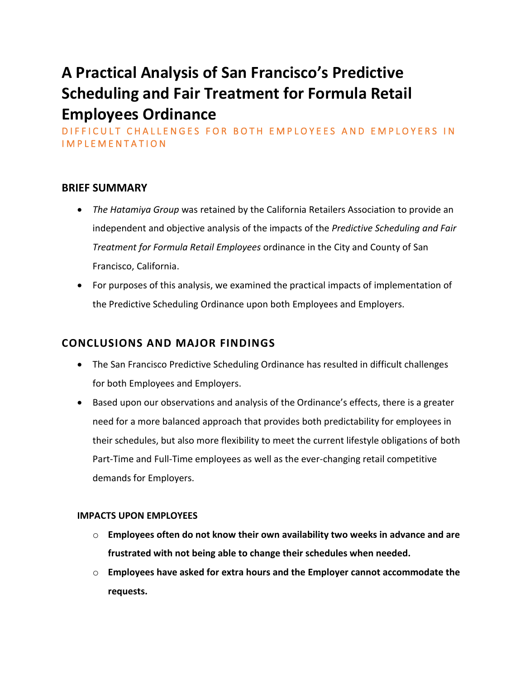# **A Practical Analysis of San Francisco's Predictive Scheduling and Fair Treatment for Formula Retail Employees Ordinance**

DIFFICULT CHALLENGES FOR BOTH EMPLOYEES AND EMPLOYERS IN I M P L E M E N T A T I O N

## **BRIEF SUMMARY**

- *The Hatamiya Group* was retained by the California Retailers Association to provide an independent and objective analysis of the impacts of the *Predictive Scheduling and Fair Treatment for Formula Retail Employees* ordinance in the City and County of San Francisco, California.
- For purposes of this analysis, we examined the practical impacts of implementation of the Predictive Scheduling Ordinance upon both Employees and Employers.

## **CONCLUSIONS AND MAJOR FINDINGS**

- The San Francisco Predictive Scheduling Ordinance has resulted in difficult challenges for both Employees and Employers.
- Based upon our observations and analysis of the Ordinance's effects, there is a greater need for a more balanced approach that provides both predictability for employees in their schedules, but also more flexibility to meet the current lifestyle obligations of both Part-Time and Full-Time employees as well as the ever-changing retail competitive demands for Employers.

### **IMPACTS UPON EMPLOYEES**

- o **Employees often do not know their own availability two weeks in advance and are frustrated with not being able to change their schedules when needed.**
- o **Employees have asked for extra hours and the Employer cannot accommodate the requests.**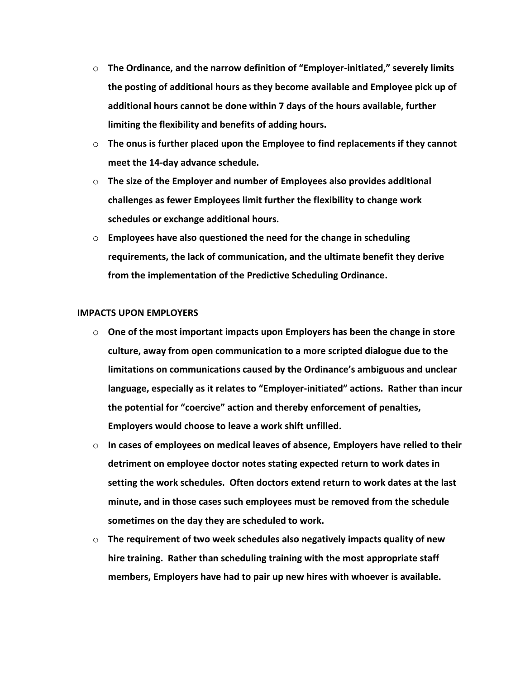- o **The Ordinance, and the narrow definition of "Employer-initiated," severely limits the posting of additional hours as they become available and Employee pick up of additional hours cannot be done within 7 days of the hours available, further limiting the flexibility and benefits of adding hours.**
- o **The onus is further placed upon the Employee to find replacements if they cannot meet the 14-day advance schedule.**
- o **The size of the Employer and number of Employees also provides additional challenges as fewer Employees limit further the flexibility to change work schedules or exchange additional hours.**
- o **Employees have also questioned the need for the change in scheduling requirements, the lack of communication, and the ultimate benefit they derive from the implementation of the Predictive Scheduling Ordinance.**

#### **IMPACTS UPON EMPLOYERS**

- o **One of the most important impacts upon Employers has been the change in store culture, away from open communication to a more scripted dialogue due to the limitations on communications caused by the Ordinance's ambiguous and unclear language, especially as it relates to "Employer-initiated" actions. Rather than incur the potential for "coercive" action and thereby enforcement of penalties, Employers would choose to leave a work shift unfilled.**
- o **In cases of employees on medical leaves of absence, Employers have relied to their detriment on employee doctor notes stating expected return to work dates in setting the work schedules. Often doctors extend return to work dates at the last minute, and in those cases such employees must be removed from the schedule sometimes on the day they are scheduled to work.**
- o **The requirement of two week schedules also negatively impacts quality of new hire training. Rather than scheduling training with the most appropriate staff members, Employers have had to pair up new hires with whoever is available.**